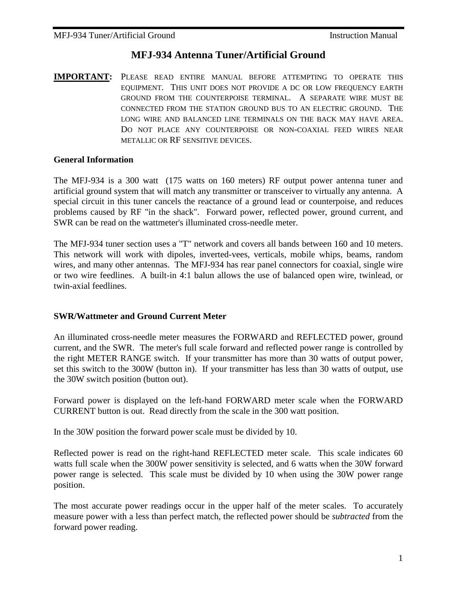## **MFJ-934 Antenna Tuner/Artificial Ground**

**IMPORTANT:** PLEASE READ ENTIRE MANUAL BEFORE ATTEMPTING TO OPERATE THIS EQUIPMENT. THIS UNIT DOES NOT PROVIDE A DC OR LOW FREQUENCY EARTH GROUND FROM THE COUNTERPOISE TERMINAL. A SEPARATE WIRE MUST BE CONNECTED FROM THE STATION GROUND BUS TO AN ELECTRIC GROUND. THE LONG WIRE AND BALANCED LINE TERMINALS ON THE BACK MAY HAVE AREA. DO NOT PLACE ANY COUNTERPOISE OR NON-COAXIAL FEED WIRES NEAR METALLIC OR RF SENSITIVE DEVICES.

#### **General Information**

The MFJ-934 is a 300 watt (175 watts on 160 meters) RF output power antenna tuner and artificial ground system that will match any transmitter or transceiver to virtually any antenna. A special circuit in this tuner cancels the reactance of a ground lead or counterpoise, and reduces problems caused by RF "in the shack". Forward power, reflected power, ground current, and SWR can be read on the wattmeter's illuminated cross-needle meter.

The MFJ-934 tuner section uses a "T" network and covers all bands between 160 and 10 meters. This network will work with dipoles, inverted-vees, verticals, mobile whips, beams, random wires, and many other antennas. The MFJ-934 has rear panel connectors for coaxial, single wire or two wire feedlines. A built-in 4:1 balun allows the use of balanced open wire, twinlead, or twin-axial feedlines.

#### **SWR/Wattmeter and Ground Current Meter**

An illuminated cross-needle meter measures the FORWARD and REFLECTED power, ground current, and the SWR. The meter's full scale forward and reflected power range is controlled by the right METER RANGE switch. If your transmitter has more than 30 watts of output power, set this switch to the 300W (button in). If your transmitter has less than 30 watts of output, use the 30W switch position (button out).

Forward power is displayed on the left-hand FORWARD meter scale when the FORWARD CURRENT button is out. Read directly from the scale in the 300 watt position.

In the 30W position the forward power scale must be divided by 10.

Reflected power is read on the right-hand REFLECTED meter scale. This scale indicates 60 watts full scale when the 300W power sensitivity is selected, and 6 watts when the 30W forward power range is selected. This scale must be divided by 10 when using the 30W power range position.

The most accurate power readings occur in the upper half of the meter scales. To accurately measure power with a less than perfect match, the reflected power should be *subtracted* from the forward power reading.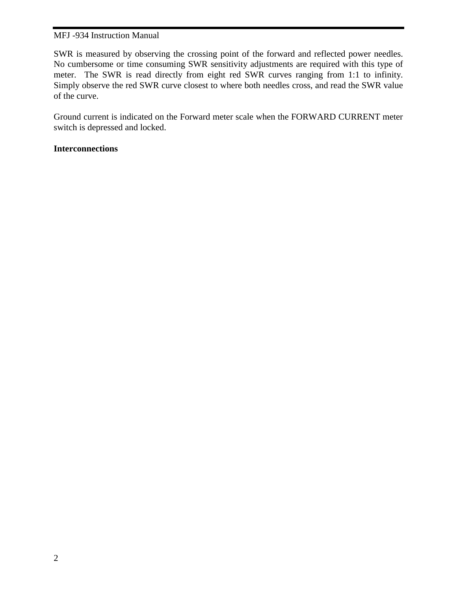SWR is measured by observing the crossing point of the forward and reflected power needles. No cumbersome or time consuming SWR sensitivity adjustments are required with this type of meter. The SWR is read directly from eight red SWR curves ranging from 1:1 to infinity. Simply observe the red SWR curve closest to where both needles cross, and read the SWR value of the curve.

Ground current is indicated on the Forward meter scale when the FORWARD CURRENT meter switch is depressed and locked.

## **Interconnections**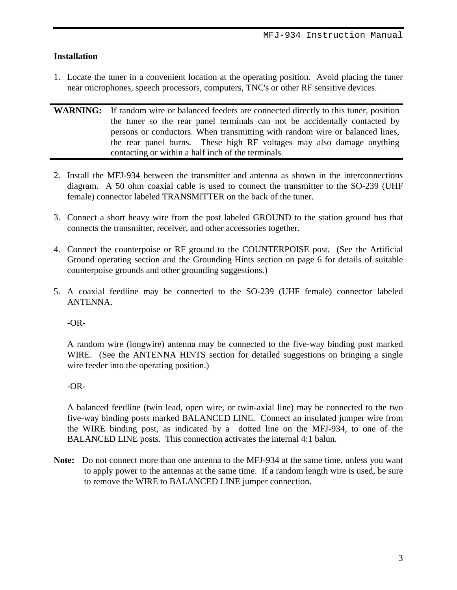## **Installation**

- 1. Locate the tuner in a convenient location at the operating position. Avoid placing the tuner near microphones, speech processors, computers, TNC's or other RF sensitive devices.
- WARNING: If random wire or balanced feeders are connected directly to this tuner, position the tuner so the rear panel terminals can not be accidentally contacted by persons or conductors. When transmitting with random wire or balanced lines, the rear panel burns. These high RF voltages may also damage anything contacting or within a half inch of the terminals.
- 2. Install the MFJ-934 between the transmitter and antenna as shown in the interconnections diagram. A 50 ohm coaxial cable is used to connect the transmitter to the SO-239 (UHF female) connector labeled TRANSMITTER on the back of the tuner.
- 3. Connect a short heavy wire from the post labeled GROUND to the station ground bus that connects the transmitter, receiver, and other accessories together.
- 4. Connect the counterpoise or RF ground to the COUNTERPOISE post. (See the Artificial Ground operating section and the Grounding Hints section on page 6 for details of suitable counterpoise grounds and other grounding suggestions.)
- 5. A coaxial feedline may be connected to the SO-239 (UHF female) connector labeled ANTENNA.

-OR-

 A random wire (longwire) antenna may be connected to the five-way binding post marked WIRE. (See the ANTENNA HINTS section for detailed suggestions on bringing a single wire feeder into the operating position.)

-OR-

 A balanced feedline (twin lead, open wire, or twin-axial line) may be connected to the two five-way binding posts marked BALANCED LINE. Connect an insulated jumper wire from the WIRE binding post, as indicated by a dotted line on the MFJ-934, to one of the BALANCED LINE posts. This connection activates the internal 4:1 balun.

**Note:** Do not connect more than one antenna to the MFJ-934 at the same time, unless you want to apply power to the antennas at the same time. If a random length wire is used, be sure to remove the WIRE to BALANCED LINE jumper connection.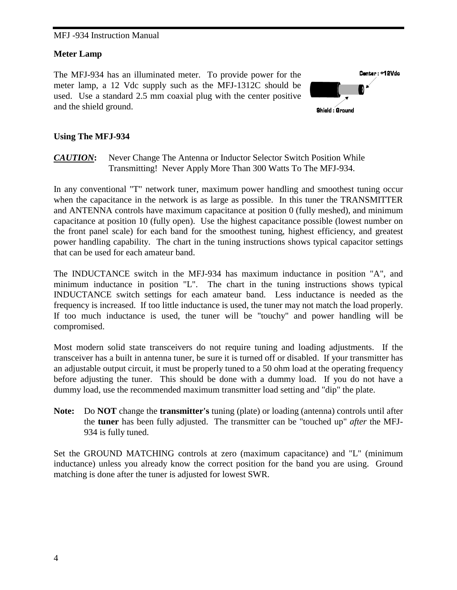#### **Meter Lamp**

The MFJ-934 has an illuminated meter. To provide power for the meter lamp, a 12 Vdc supply such as the MFJ-1312C should be used. Use a standard 2.5 mm coaxial plug with the center positive and the shield ground.



#### **Using The MFJ-934**

*CAUTION***:** Never Change The Antenna or Inductor Selector Switch Position While Transmitting! Never Apply More Than 300 Watts To The MFJ-934.

In any conventional "T" network tuner, maximum power handling and smoothest tuning occur when the capacitance in the network is as large as possible. In this tuner the TRANSMITTER and ANTENNA controls have maximum capacitance at position 0 (fully meshed), and minimum capacitance at position 10 (fully open). Use the highest capacitance possible (lowest number on the front panel scale) for each band for the smoothest tuning, highest efficiency, and greatest power handling capability. The chart in the tuning instructions shows typical capacitor settings that can be used for each amateur band.

The INDUCTANCE switch in the MFJ-934 has maximum inductance in position "A", and minimum inductance in position "L". The chart in the tuning instructions shows typical INDUCTANCE switch settings for each amateur band. Less inductance is needed as the frequency is increased. If too little inductance is used, the tuner may not match the load properly. If too much inductance is used, the tuner will be "touchy" and power handling will be compromised.

Most modern solid state transceivers do not require tuning and loading adjustments. If the transceiver has a built in antenna tuner, be sure it is turned off or disabled. If your transmitter has an adjustable output circuit, it must be properly tuned to a 50 ohm load at the operating frequency before adjusting the tuner. This should be done with a dummy load. If you do not have a dummy load, use the recommended maximum transmitter load setting and "dip" the plate.

**Note:** Do **NOT** change the **transmitter's** tuning (plate) or loading (antenna) controls until after the **tuner** has been fully adjusted. The transmitter can be "touched up" *after* the MFJ-934 is fully tuned.

Set the GROUND MATCHING controls at zero (maximum capacitance) and "L" (minimum inductance) unless you already know the correct position for the band you are using. Ground matching is done after the tuner is adjusted for lowest SWR.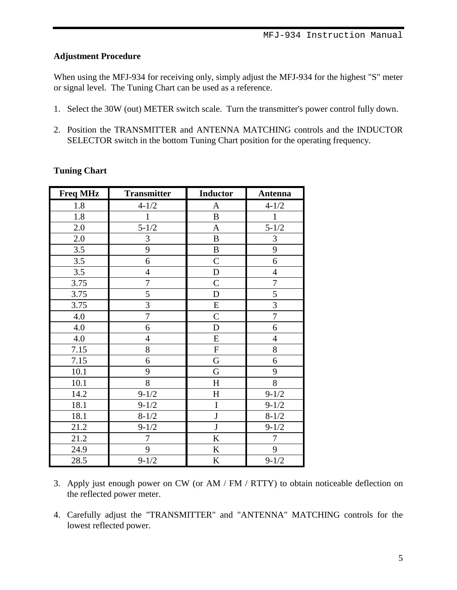## **Adjustment Procedure**

When using the MFJ-934 for receiving only, simply adjust the MFJ-934 for the highest "S" meter or signal level. The Tuning Chart can be used as a reference.

- 1. Select the 30W (out) METER switch scale. Turn the transmitter's power control fully down.
- 2. Position the TRANSMITTER and ANTENNA MATCHING controls and the INDUCTOR SELECTOR switch in the bottom Tuning Chart position for the operating frequency.

| <b>Freq MHz</b> | <b>Transmitter</b> | <b>Inductor</b> | Antenna        |
|-----------------|--------------------|-----------------|----------------|
| 1.8             | $4 - 1/2$          | A               | $4 - 1/2$      |
| 1.8             | $\mathbf{1}$       | $\, {\bf B}$    | $\mathbf{1}$   |
| 2.0             | $5 - 1/2$          | $\mathbf{A}$    | $5 - 1/2$      |
| 2.0             | 3                  | $\, {\bf B}$    | 3              |
| 3.5             | 9                  | $\, {\bf B}$    | 9              |
| 3.5             | 6                  | $\mathcal{C}$   | 6              |
| 3.5             | $\overline{4}$     | D               | $\overline{4}$ |
| 3.75            | 7                  | $\mathcal{C}$   | $\tau$         |
| 3.75            | 5                  | D               | 5              |
| 3.75            | 3                  | ${\bf E}$       | 3              |
| 4.0             | $\overline{7}$     | $\overline{C}$  | $\overline{7}$ |
| 4.0             | 6                  | D               | 6              |
| 4.0             | $\overline{4}$     | ${\bf E}$       | $\overline{4}$ |
| 7.15            | 8                  | ${\bf F}$       | $8\,$          |
| 7.15            | 6                  | ${\bf G}$       | 6              |
| 10.1            | 9                  | G               | 9              |
| 10.1            | 8                  | $H_{\rm}$       | 8              |
| 14.2            | $9 - 1/2$          | $H_{\rm}$       | $9 - 1/2$      |
| 18.1            | $9 - 1/2$          | I               | $9 - 1/2$      |
| 18.1            | $8 - 1/2$          | $\mathbf{J}$    | $8 - 1/2$      |
| 21.2            | $9 - 1/2$          | $\mathbf{J}$    | $9 - 1/2$      |
| 21.2            | $\tau$             | $\rm K$         | $\overline{7}$ |
| 24.9            | 9                  | $\bf K$         | 9              |
| 28.5            | $9 - 1/2$          | $\bf K$         | $9 - 1/2$      |

## **Tuning Chart**

- 3. Apply just enough power on CW (or AM / FM / RTTY) to obtain noticeable deflection on the reflected power meter.
- 4. Carefully adjust the "TRANSMITTER" and "ANTENNA" MATCHING controls for the lowest reflected power.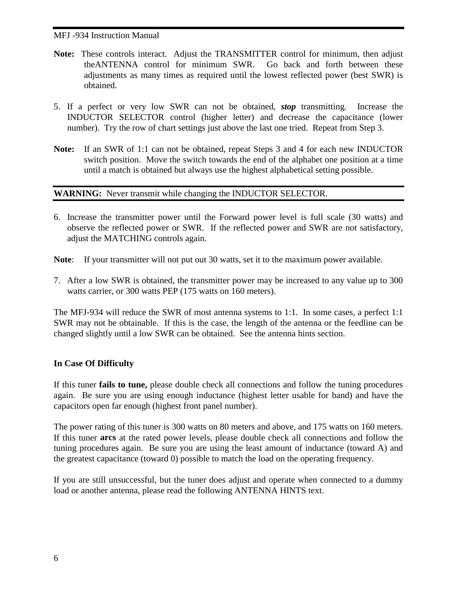- **Note:** These controls interact. Adjust the TRANSMITTER control for minimum, then adjust theANTENNA control for minimum SWR. Go back and forth between these adjustments as many times as required until the lowest reflected power (best SWR) is obtained.
- 5. If a perfect or very low SWR can not be obtained, *stop* transmitting. Increase the INDUCTOR SELECTOR control (higher letter) and decrease the capacitance (lower number). Try the row of chart settings just above the last one tried. Repeat from Step 3.
- **Note:** If an SWR of 1:1 can not be obtained, repeat Steps 3 and 4 for each new INDUCTOR switch position. Move the switch towards the end of the alphabet one position at a time until a match is obtained but always use the highest alphabetical setting possible.

## **WARNING:** Never transmit while changing the INDUCTOR SELECTOR.

6. Increase the transmitter power until the Forward power level is full scale (30 watts) and observe the reflected power or SWR. If the reflected power and SWR are not satisfactory, adjust the MATCHING controls again.

**Note**: If your transmitter will not put out 30 watts, set it to the maximum power available.

7. After a low SWR is obtained, the transmitter power may be increased to any value up to 300 watts carrier, or 300 watts PEP (175 watts on 160 meters).

The MFJ-934 will reduce the SWR of most antenna systems to 1:1. In some cases, a perfect 1:1 SWR may not be obtainable. If this is the case, the length of the antenna or the feedline can be changed slightly until a low SWR can be obtained. See the antenna hints section.

## **In Case Of Difficulty**

If this tuner **fails to tune,** please double check all connections and follow the tuning procedures again. Be sure you are using enough inductance (highest letter usable for band) and have the capacitors open far enough (highest front panel number).

The power rating of this tuner is 300 watts on 80 meters and above, and 175 watts on 160 meters. If this tuner **arcs** at the rated power levels, please double check all connections and follow the tuning procedures again. Be sure you are using the least amount of inductance (toward A) and the greatest capacitance (toward 0) possible to match the load on the operating frequency.

If you are still unsuccessful, but the tuner does adjust and operate when connected to a dummy load or another antenna, please read the following ANTENNA HINTS text.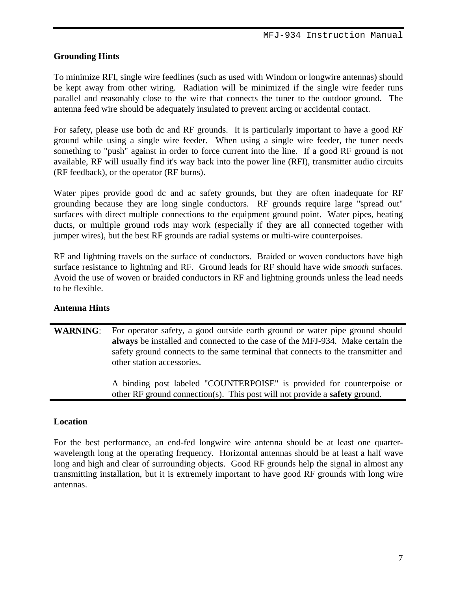## **Grounding Hints**

To minimize RFI, single wire feedlines (such as used with Windom or longwire antennas) should be kept away from other wiring. Radiation will be minimized if the single wire feeder runs parallel and reasonably close to the wire that connects the tuner to the outdoor ground. The antenna feed wire should be adequately insulated to prevent arcing or accidental contact.

For safety, please use both dc and RF grounds. It is particularly important to have a good RF ground while using a single wire feeder. When using a single wire feeder, the tuner needs something to "push" against in order to force current into the line. If a good RF ground is not available, RF will usually find it's way back into the power line (RFI), transmitter audio circuits (RF feedback), or the operator (RF burns).

Water pipes provide good dc and ac safety grounds, but they are often inadequate for RF grounding because they are long single conductors. RF grounds require large "spread out" surfaces with direct multiple connections to the equipment ground point. Water pipes, heating ducts, or multiple ground rods may work (especially if they are all connected together with jumper wires), but the best RF grounds are radial systems or multi-wire counterpoises.

RF and lightning travels on the surface of conductors. Braided or woven conductors have high surface resistance to lightning and RF. Ground leads for RF should have wide *smooth* surfaces. Avoid the use of woven or braided conductors in RF and lightning grounds unless the lead needs to be flexible.

## **Antenna Hints**

WARNING: For operator safety, a good outside earth ground or water pipe ground should **always** be installed and connected to the case of the MFJ-934. Make certain the safety ground connects to the same terminal that connects to the transmitter and other station accessories.

> A binding post labeled "COUNTERPOISE" is provided for counterpoise or other RF ground connection(s). This post will not provide a **safety** ground.

#### **Location**

For the best performance, an end-fed longwire wire antenna should be at least one quarterwavelength long at the operating frequency. Horizontal antennas should be at least a half wave long and high and clear of surrounding objects. Good RF grounds help the signal in almost any transmitting installation, but it is extremely important to have good RF grounds with long wire antennas.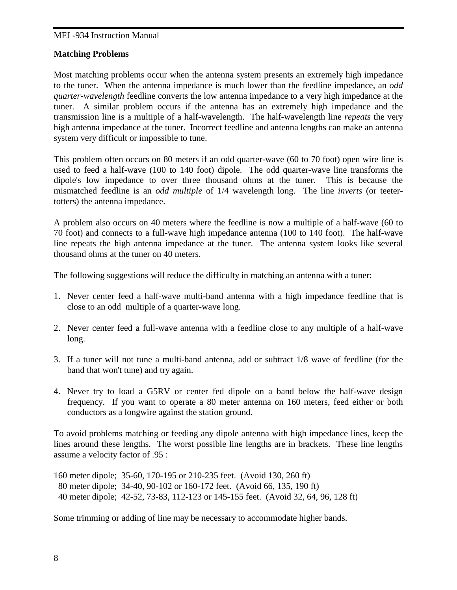#### **Matching Problems**

Most matching problems occur when the antenna system presents an extremely high impedance to the tuner. When the antenna impedance is much lower than the feedline impedance, an *odd quarter-wavelength* feedline converts the low antenna impedance to a very high impedance at the tuner. A similar problem occurs if the antenna has an extremely high impedance and the transmission line is a multiple of a half-wavelength. The half-wavelength line *repeats* the very high antenna impedance at the tuner. Incorrect feedline and antenna lengths can make an antenna system very difficult or impossible to tune.

This problem often occurs on 80 meters if an odd quarter-wave (60 to 70 foot) open wire line is used to feed a half-wave (100 to 140 foot) dipole. The odd quarter-wave line transforms the dipole's low impedance to over three thousand ohms at the tuner. This is because the mismatched feedline is an *odd multiple* of 1/4 wavelength long. The line *inverts* (or teetertotters) the antenna impedance.

A problem also occurs on 40 meters where the feedline is now a multiple of a half-wave (60 to 70 foot) and connects to a full-wave high impedance antenna (100 to 140 foot). The half-wave line repeats the high antenna impedance at the tuner. The antenna system looks like several thousand ohms at the tuner on 40 meters.

The following suggestions will reduce the difficulty in matching an antenna with a tuner:

- 1. Never center feed a half-wave multi-band antenna with a high impedance feedline that is close to an odd multiple of a quarter-wave long.
- 2. Never center feed a full-wave antenna with a feedline close to any multiple of a half-wave long.
- 3. If a tuner will not tune a multi-band antenna, add or subtract 1/8 wave of feedline (for the band that won't tune) and try again.
- 4. Never try to load a G5RV or center fed dipole on a band below the half-wave design frequency. If you want to operate a 80 meter antenna on 160 meters, feed either or both conductors as a longwire against the station ground.

To avoid problems matching or feeding any dipole antenna with high impedance lines, keep the lines around these lengths. The worst possible line lengths are in brackets. These line lengths assume a velocity factor of .95 :

160 meter dipole; 35-60, 170-195 or 210-235 feet. (Avoid 130, 260 ft) 80 meter dipole; 34-40, 90-102 or 160-172 feet. (Avoid 66, 135, 190 ft) 40 meter dipole; 42-52, 73-83, 112-123 or 145-155 feet. (Avoid 32, 64, 96, 128 ft)

Some trimming or adding of line may be necessary to accommodate higher bands.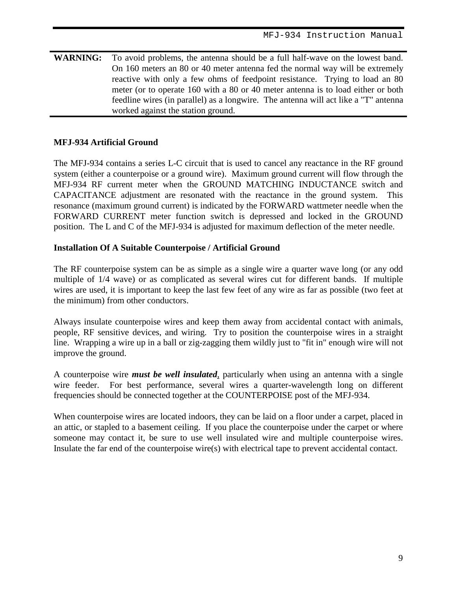**WARNING:** To avoid problems, the antenna should be a full half-wave on the lowest band. On 160 meters an 80 or 40 meter antenna fed the normal way will be extremely reactive with only a few ohms of feedpoint resistance. Trying to load an 80 meter (or to operate 160 with a 80 or 40 meter antenna is to load either or both feedline wires (in parallel) as a longwire. The antenna will act like a "T" antenna worked against the station ground.

## **MFJ-934 Artificial Ground**

The MFJ-934 contains a series L-C circuit that is used to cancel any reactance in the RF ground system (either a counterpoise or a ground wire). Maximum ground current will flow through the MFJ-934 RF current meter when the GROUND MATCHING INDUCTANCE switch and CAPACITANCE adjustment are resonated with the reactance in the ground system. This resonance (maximum ground current) is indicated by the FORWARD wattmeter needle when the FORWARD CURRENT meter function switch is depressed and locked in the GROUND position. The L and C of the MFJ-934 is adjusted for maximum deflection of the meter needle.

#### **Installation Of A Suitable Counterpoise / Artificial Ground**

The RF counterpoise system can be as simple as a single wire a quarter wave long (or any odd multiple of 1/4 wave) or as complicated as several wires cut for different bands. If multiple wires are used, it is important to keep the last few feet of any wire as far as possible (two feet at the minimum) from other conductors.

Always insulate counterpoise wires and keep them away from accidental contact with animals, people, RF sensitive devices, and wiring. Try to position the counterpoise wires in a straight line. Wrapping a wire up in a ball or zig-zagging them wildly just to "fit in" enough wire will not improve the ground.

A counterpoise wire *must be well insulated*, particularly when using an antenna with a single wire feeder. For best performance, several wires a quarter-wavelength long on different frequencies should be connected together at the COUNTERPOISE post of the MFJ-934.

When counterpoise wires are located indoors, they can be laid on a floor under a carpet, placed in an attic, or stapled to a basement ceiling. If you place the counterpoise under the carpet or where someone may contact it, be sure to use well insulated wire and multiple counterpoise wires. Insulate the far end of the counterpoise wire(s) with electrical tape to prevent accidental contact.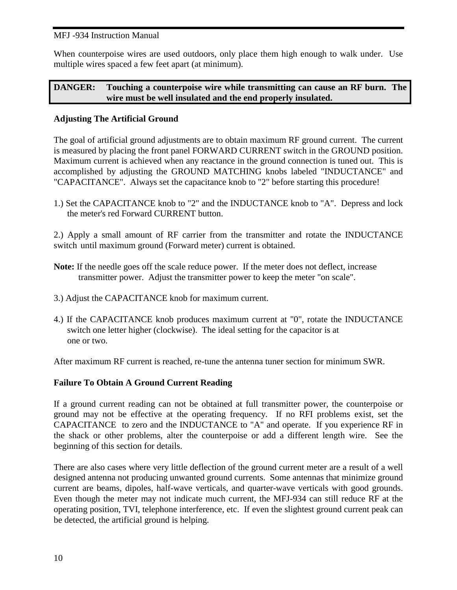When counterpoise wires are used outdoors, only place them high enough to walk under. Use multiple wires spaced a few feet apart (at minimum).

## **DANGER: Touching a counterpoise wire while transmitting can cause an RF burn. The wire must be well insulated and the end properly insulated.**

## **Adjusting The Artificial Ground**

The goal of artificial ground adjustments are to obtain maximum RF ground current. The current is measured by placing the front panel FORWARD CURRENT switch in the GROUND position. Maximum current is achieved when any reactance in the ground connection is tuned out. This is accomplished by adjusting the GROUND MATCHING knobs labeled "INDUCTANCE" and "CAPACITANCE". Always set the capacitance knob to "2" before starting this procedure!

1.) Set the CAPACITANCE knob to "2" and the INDUCTANCE knob to "A". Depress and lock the meter's red Forward CURRENT button.

2.) Apply a small amount of RF carrier from the transmitter and rotate the INDUCTANCE switch until maximum ground (Forward meter) current is obtained.

- Note: If the needle goes off the scale reduce power. If the meter does not deflect, increase transmitter power. Adjust the transmitter power to keep the meter "on scale".
- 3.) Adjust the CAPACITANCE knob for maximum current.
- 4.) If the CAPACITANCE knob produces maximum current at "0", rotate the INDUCTANCE switch one letter higher (clockwise). The ideal setting for the capacitor is at one or two.

After maximum RF current is reached, re-tune the antenna tuner section for minimum SWR.

## **Failure To Obtain A Ground Current Reading**

If a ground current reading can not be obtained at full transmitter power, the counterpoise or ground may not be effective at the operating frequency. If no RFI problems exist, set the CAPACITANCE to zero and the INDUCTANCE to "A" and operate. If you experience RF in the shack or other problems, alter the counterpoise or add a different length wire. See the beginning of this section for details.

There are also cases where very little deflection of the ground current meter are a result of a well designed antenna not producing unwanted ground currents. Some antennas that minimize ground current are beams, dipoles, half-wave verticals, and quarter-wave verticals with good grounds. Even though the meter may not indicate much current, the MFJ-934 can still reduce RF at the operating position, TVI, telephone interference, etc. If even the slightest ground current peak can be detected, the artificial ground is helping.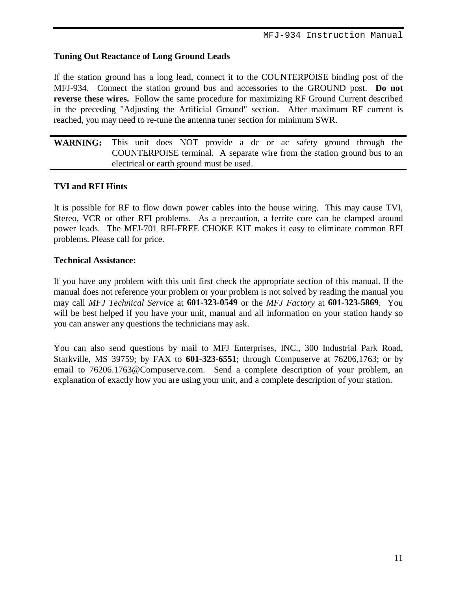## **Tuning Out Reactance of Long Ground Leads**

If the station ground has a long lead, connect it to the COUNTERPOISE binding post of the MFJ-934. Connect the station ground bus and accessories to the GROUND post. **Do not reverse these wires.** Follow the same procedure for maximizing RF Ground Current described in the preceding "Adjusting the Artificial Ground" section. After maximum RF current is reached, you may need to re-tune the antenna tuner section for minimum SWR.

**WARNING:** This unit does NOT provide a dc or ac safety ground through the COUNTERPOISE terminal. A separate wire from the station ground bus to an electrical or earth ground must be used.

## **TVI and RFI Hints**

It is possible for RF to flow down power cables into the house wiring. This may cause TVI, Stereo, VCR or other RFI problems. As a precaution, a ferrite core can be clamped around power leads. The MFJ-701 RFI-FREE CHOKE KIT makes it easy to eliminate common RFI problems. Please call for price.

#### **Technical Assistance:**

If you have any problem with this unit first check the appropriate section of this manual. If the manual does not reference your problem or your problem is not solved by reading the manual you may call *MFJ Technical Service* at **601-323-0549** or the *MFJ Factory* at **601-323-5869**. You will be best helped if you have your unit, manual and all information on your station handy so you can answer any questions the technicians may ask.

You can also send questions by mail to MFJ Enterprises, INC., 300 Industrial Park Road, Starkville, MS 39759; by FAX to **601-323-6551**; through Compuserve at 76206,1763; or by email to 76206.1763@Compuserve.com. Send a complete description of your problem, an explanation of exactly how you are using your unit, and a complete description of your station.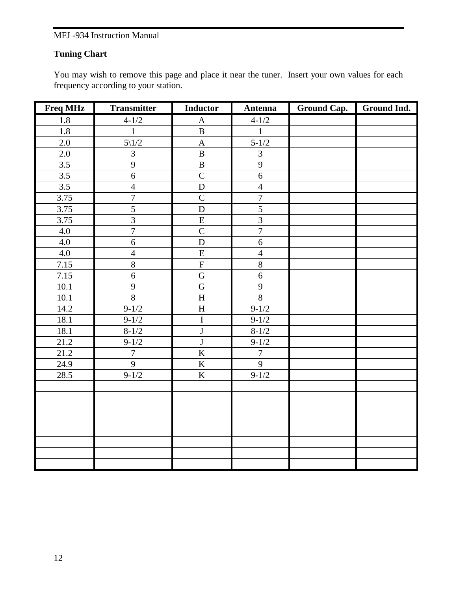## **Tuning Chart**

You may wish to remove this page and place it near the tuner. Insert your own values for each frequency according to your station.

| <b>Freq MHz</b>  | <b>Transmitter</b> | <b>Inductor</b>           | Antenna        | Ground Cap. | Ground Ind. |
|------------------|--------------------|---------------------------|----------------|-------------|-------------|
| 1.8              | $4 - 1/2$          | $\mathbf{A}$              | $4 - 1/2$      |             |             |
| 1.8              | $\mathbf{1}$       | $\, {\bf B}$              | $\mathbf{1}$   |             |             |
| 2.0              | $5\backslash1/2$   | $\boldsymbol{\mathsf{A}}$ | $5 - 1/2$      |             |             |
| 2.0              | $\overline{3}$     | $\, {\bf B}$              | $\overline{3}$ |             |             |
| 3.5              | 9                  | $\, {\bf B}$              | 9              |             |             |
| $\overline{3.5}$ | $\overline{6}$     | $\overline{C}$            | $\overline{6}$ |             |             |
| 3.5              | $\overline{4}$     | ${\bf D}$                 | $\overline{4}$ |             |             |
| 3.75             | $\overline{7}$     | $\overline{C}$            | $\overline{7}$ |             |             |
| 3.75             | $\overline{5}$     | $\mathbf D$               | $\overline{5}$ |             |             |
| 3.75             | $\overline{3}$     | ${\bf E}$                 | $\overline{3}$ |             |             |
| 4.0              | $\overline{7}$     | $\overline{C}$            | $\overline{7}$ |             |             |
| 4.0              | 6                  | $\mathbf D$               | 6              |             |             |
| 4.0              | $\overline{4}$     | $\overline{E}$            | $\overline{4}$ |             |             |
| 7.15             | $\overline{8}$     | $\overline{F}$            | $\overline{8}$ |             |             |
| 7.15             | 6                  | $\overline{\mathbf{G}}$   | $\overline{6}$ |             |             |
| 10.1             | $\mathbf{9}$       | $\overline{G}$            | 9              |             |             |
| 10.1             | $\overline{8}$     | $\overline{H}$            | $\overline{8}$ |             |             |
| 14.2             | $9 - 1/2$          | $\boldsymbol{\mathrm{H}}$ | $9 - 1/2$      |             |             |
| 18.1             | $9-1/2$            | $\overline{I}$            | $9 - 1/2$      |             |             |
| 18.1             | $8 - 1/2$          | $\bf J$                   | $8 - 1/2$      |             |             |
| 21.2             | $9 - 1/2$          | $\overline{\mathbf{J}}$   | $9 - 1/2$      |             |             |
| 21.2             | $\overline{7}$     | $\overline{\mathbf{K}}$   | $\overline{7}$ |             |             |
| 24.9             | $\overline{9}$     | $\overline{\mathbf{K}}$   | $\overline{9}$ |             |             |
| 28.5             | $9 - 1/2$          | $\overline{K}$            | $9 - 1/2$      |             |             |
|                  |                    |                           |                |             |             |
|                  |                    |                           |                |             |             |
|                  |                    |                           |                |             |             |
|                  |                    |                           |                |             |             |
|                  |                    |                           |                |             |             |
|                  |                    |                           |                |             |             |
|                  |                    |                           |                |             |             |
|                  |                    |                           |                |             |             |